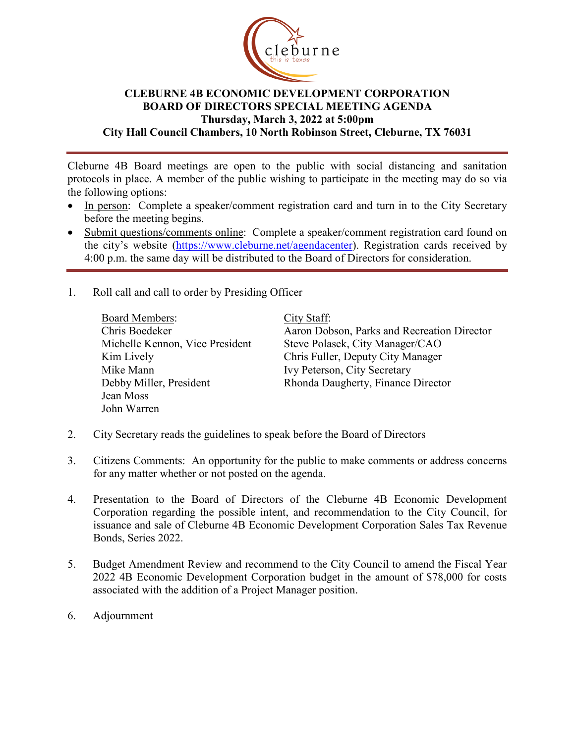

## **CLEBURNE 4B ECONOMIC DEVELOPMENT CORPORATION BOARD OF DIRECTORS SPECIAL MEETING AGENDA Thursday, March 3, 2022 at 5:00pm City Hall Council Chambers, 10 North Robinson Street, Cleburne, TX 76031**

Cleburne 4B Board meetings are open to the public with social distancing and sanitation protocols in place. A member of the public wishing to participate in the meeting may do so via the following options:

- In person: Complete a speaker/comment registration card and turn in to the City Secretary before the meeting begins.
- Submit questions/comments online: Complete a speaker/comment registration card found on the city's website [\(https://www.cleburne.net/agendacenter\)](https://www.cleburne.net/agendacenter). Registration cards received by 4:00 p.m. the same day will be distributed to the Board of Directors for consideration.
- 1. Roll call and call to order by Presiding Officer

Board Members: Chris Boedeker Michelle Kennon, Vice President Kim Lively Mike Mann Debby Miller, President Jean Moss John Warren

City Staff:

Aaron Dobson, Parks and Recreation Director Steve Polasek, City Manager/CAO Chris Fuller, Deputy City Manager Ivy Peterson, City Secretary Rhonda Daugherty, Finance Director

- 2. City Secretary reads the guidelines to speak before the Board of Directors
- 3. Citizens Comments: An opportunity for the public to make comments or address concerns for any matter whether or not posted on the agenda.
- 4. Presentation to the Board of Directors of the Cleburne 4B Economic Development Corporation regarding the possible intent, and recommendation to the City Council, for issuance and sale of Cleburne 4B Economic Development Corporation Sales Tax Revenue Bonds, Series 2022.
- 5. Budget Amendment Review and recommend to the City Council to amend the Fiscal Year 2022 4B Economic Development Corporation budget in the amount of \$78,000 for costs associated with the addition of a Project Manager position.
- 6. Adjournment